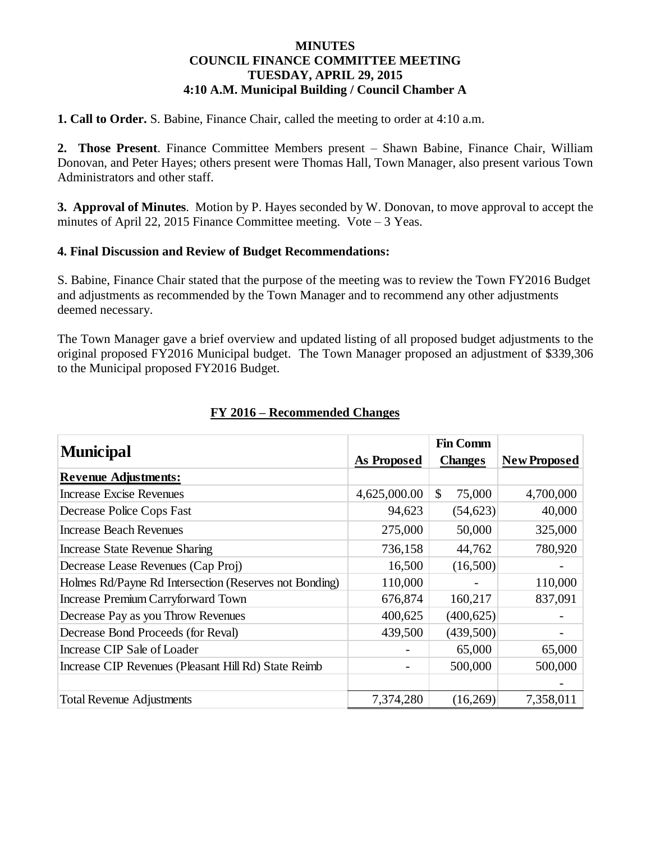### **MINUTES COUNCIL FINANCE COMMITTEE MEETING TUESDAY, APRIL 29, 2015 4:10 A.M. Municipal Building / Council Chamber A**

**1. Call to Order.** S. Babine, Finance Chair, called the meeting to order at 4:10 a.m.

**2. Those Present**. Finance Committee Members present – Shawn Babine, Finance Chair, William Donovan, and Peter Hayes; others present were Thomas Hall, Town Manager, also present various Town Administrators and other staff.

**3. Approval of Minutes**. Motion by P. Hayes seconded by W. Donovan, to move approval to accept the minutes of April 22, 2015 Finance Committee meeting. Vote – 3 Yeas.

### **4. Final Discussion and Review of Budget Recommendations:**

S. Babine, Finance Chair stated that the purpose of the meeting was to review the Town FY2016 Budget and adjustments as recommended by the Town Manager and to recommend any other adjustments deemed necessary.

The Town Manager gave a brief overview and updated listing of all proposed budget adjustments to the original proposed FY2016 Municipal budget. The Town Manager proposed an adjustment of \$339,306 to the Municipal proposed FY2016 Budget.

| <b>Municipal</b>                                       |                    | <b>Fin Comm</b> |                     |
|--------------------------------------------------------|--------------------|-----------------|---------------------|
|                                                        | <b>As Proposed</b> | <b>Changes</b>  | <b>New Proposed</b> |
| <b>Revenue Adjustments:</b>                            |                    |                 |                     |
| <b>Increase Excise Revenues</b>                        | 4,625,000.00       | \$<br>75,000    | 4,700,000           |
| Decrease Police Cops Fast                              | 94,623             | (54, 623)       | 40,000              |
| <b>Increase Beach Revenues</b>                         | 275,000            | 50,000          | 325,000             |
| <b>Increase State Revenue Sharing</b>                  | 736,158            | 44,762          | 780,920             |
| Decrease Lease Revenues (Cap Proj)                     | 16,500             | (16,500)        |                     |
| Holmes Rd/Payne Rd Intersection (Reserves not Bonding) | 110,000            |                 | 110,000             |
| <b>Increase Premium Carryforward Town</b>              | 676,874            | 160,217         | 837,091             |
| Decrease Pay as you Throw Revenues                     | 400,625            | (400, 625)      |                     |
| Decrease Bond Proceeds (for Reval)                     | 439,500            | (439,500)       |                     |
| Increase CIP Sale of Loader                            |                    | 65,000          | 65,000              |
| Increase CIP Revenues (Pleasant Hill Rd) State Reimb   |                    | 500,000         | 500,000             |
|                                                        |                    |                 |                     |
| <b>Total Revenue Adjustments</b>                       | 7,374,280          | (16,269)        | 7,358,011           |

### **FY 2016 – Recommended Changes**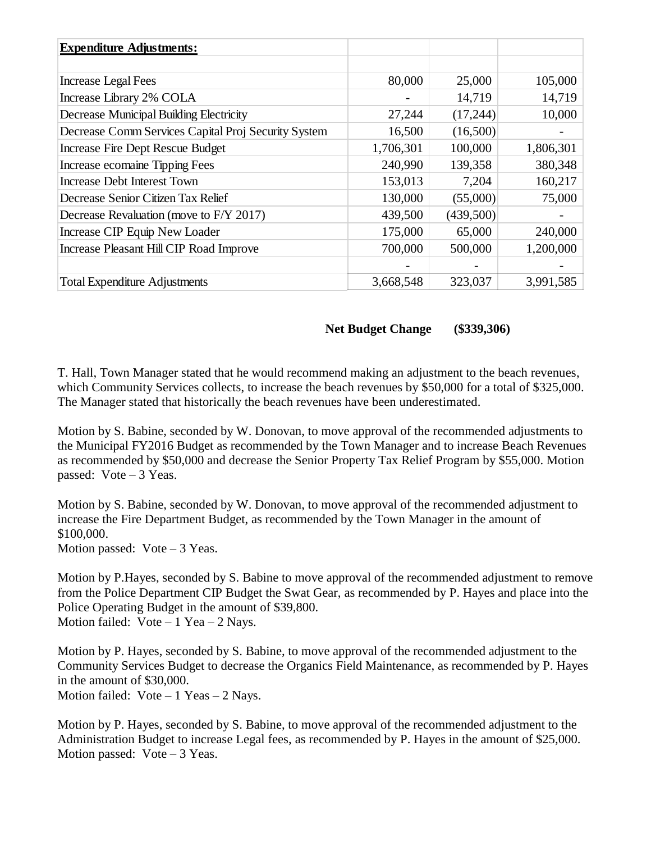| <b>Expenditure Adjustments:</b>                     |           |           |           |
|-----------------------------------------------------|-----------|-----------|-----------|
|                                                     |           |           |           |
| <b>Increase Legal Fees</b>                          | 80,000    | 25,000    | 105,000   |
| Increase Library 2% COLA                            |           | 14,719    | 14,719    |
| Decrease Municipal Building Electricity             | 27,244    | (17,244)  | 10,000    |
| Decrease Comm Services Capital Proj Security System | 16,500    | (16,500)  |           |
| Increase Fire Dept Rescue Budget                    | 1,706,301 | 100,000   | 1,806,301 |
| Increase ecomaine Tipping Fees                      | 240,990   | 139,358   | 380,348   |
| <b>Increase Debt Interest Town</b>                  | 153,013   | 7,204     | 160,217   |
| Decrease Senior Citizen Tax Relief                  | 130,000   | (55,000)  | 75,000    |
| Decrease Revaluation (move to F/Y 2017)             | 439,500   | (439,500) |           |
| Increase CIP Equip New Loader                       | 175,000   | 65,000    | 240,000   |
| Increase Pleasant Hill CIP Road Improve             | 700,000   | 500,000   | 1,200,000 |
|                                                     |           |           |           |
| <b>Total Expenditure Adjustments</b>                | 3,668,548 | 323,037   | 3,991,585 |

### **Net Budget Change (\$339,306)**

T. Hall, Town Manager stated that he would recommend making an adjustment to the beach revenues, which Community Services collects, to increase the beach revenues by \$50,000 for a total of \$325,000. The Manager stated that historically the beach revenues have been underestimated.

Motion by S. Babine, seconded by W. Donovan, to move approval of the recommended adjustments to the Municipal FY2016 Budget as recommended by the Town Manager and to increase Beach Revenues as recommended by \$50,000 and decrease the Senior Property Tax Relief Program by \$55,000. Motion passed: Vote – 3 Yeas.

Motion by S. Babine, seconded by W. Donovan, to move approval of the recommended adjustment to increase the Fire Department Budget, as recommended by the Town Manager in the amount of \$100,000. Motion passed: Vote – 3 Yeas.

Motion by P.Hayes, seconded by S. Babine to move approval of the recommended adjustment to remove from the Police Department CIP Budget the Swat Gear, as recommended by P. Hayes and place into the Police Operating Budget in the amount of \$39,800. Motion failed:  $Vote - 1$  Yea – 2 Nays.

Motion by P. Hayes, seconded by S. Babine, to move approval of the recommended adjustment to the Community Services Budget to decrease the Organics Field Maintenance, as recommended by P. Hayes in the amount of \$30,000. Motion failed:  $Vote - 1$  Yeas  $- 2$  Nays.

Motion by P. Hayes, seconded by S. Babine, to move approval of the recommended adjustment to the Administration Budget to increase Legal fees, as recommended by P. Hayes in the amount of \$25,000. Motion passed: Vote – 3 Yeas.